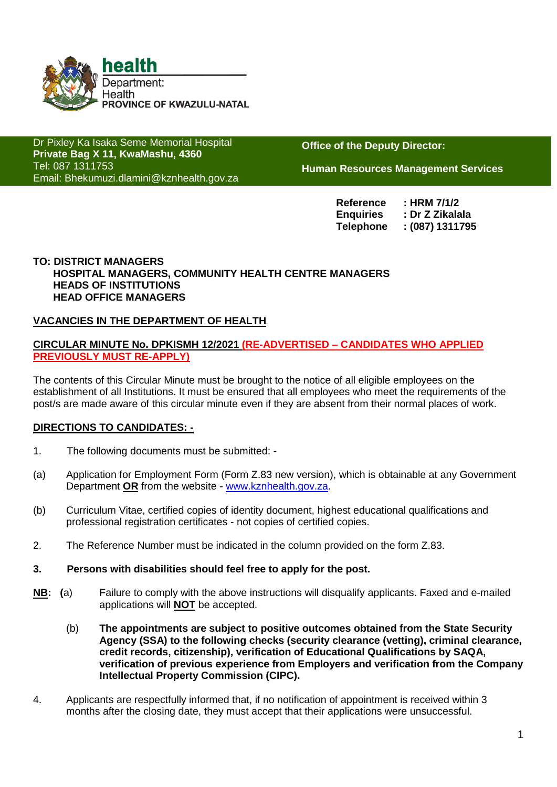

Dr Pixley Ka Isaka Seme Memorial Hospital **Private Bag X 11, KwaMashu, 4360** Tel: 087 1311753 Email: Bhekumuzi.dlamini@kznhealth.gov.za

www.kznhealth.gov.za

**Office of the Deputy Director:**

**Human Resources Management Services**

**Reference : HRM 7/1/2 Enquiries : Dr Z Zikalala Telephone : (087) 1311795**

#### **TO: DISTRICT MANAGERS HOSPITAL MANAGERS, COMMUNITY HEALTH CENTRE MANAGERS HEADS OF INSTITUTIONS HEAD OFFICE MANAGERS**

#### **VACANCIES IN THE DEPARTMENT OF HEALTH**

#### **CIRCULAR MINUTE No. DPKISMH 12/2021 (RE-ADVERTISED – CANDIDATES WHO APPLIED PREVIOUSLY MUST RE-APPLY)**

The contents of this Circular Minute must be brought to the notice of all eligible employees on the establishment of all Institutions. It must be ensured that all employees who meet the requirements of the post/s are made aware of this circular minute even if they are absent from their normal places of work.

#### **DIRECTIONS TO CANDIDATES: -**

- 1. The following documents must be submitted: -
- (a) Application for Employment Form (Form Z.83 new version), which is obtainable at any Government Department **OR** from the website - [www.kznhealth.gov.za.](http://www.kznhealth.gov.za/)
- (b) Curriculum Vitae, certified copies of identity document, highest educational qualifications and professional registration certificates - not copies of certified copies.
- 2. The Reference Number must be indicated in the column provided on the form Z.83.
- **3. Persons with disabilities should feel free to apply for the post.**
- **NB: (**a) Failure to comply with the above instructions will disqualify applicants. Faxed and e-mailed applications will **NOT** be accepted.
	- (b) **The appointments are subject to positive outcomes obtained from the State Security Agency (SSA) to the following checks (security clearance (vetting), criminal clearance, credit records, citizenship), verification of Educational Qualifications by SAQA, verification of previous experience from Employers and verification from the Company Intellectual Property Commission (CIPC).**
- 4. Applicants are respectfully informed that, if no notification of appointment is received within 3 months after the closing date, they must accept that their applications were unsuccessful.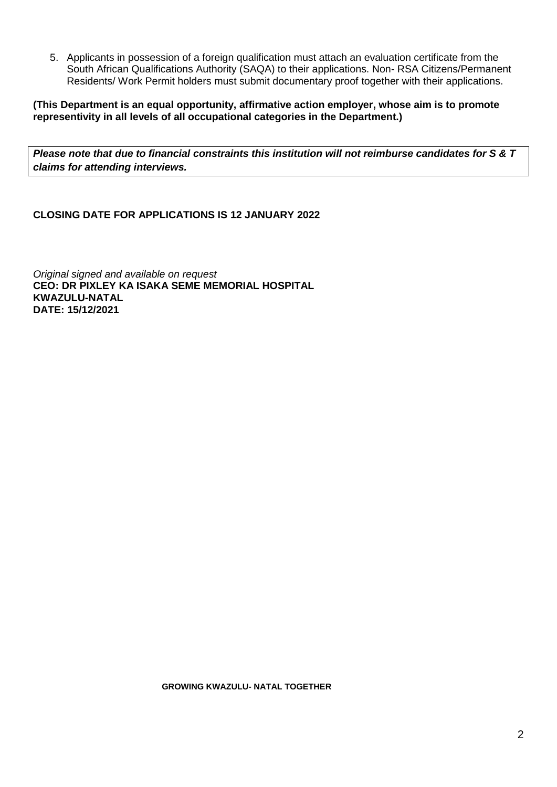5. Applicants in possession of a foreign qualification must attach an evaluation certificate from the South African Qualifications Authority (SAQA) to their applications. Non- RSA Citizens/Permanent Residents/ Work Permit holders must submit documentary proof together with their applications.

**(This Department is an equal opportunity, affirmative action employer, whose aim is to promote representivity in all levels of all occupational categories in the Department.)**

*Please note that due to financial constraints this institution will not reimburse candidates for S & T claims for attending interviews.*

**CLOSING DATE FOR APPLICATIONS IS 12 JANUARY 2022**

*Original signed and available on request* **CEO: DR PIXLEY KA ISAKA SEME MEMORIAL HOSPITAL KWAZULU-NATAL DATE: 15/12/2021**

 **GROWING KWAZULU- NATAL TOGETHER**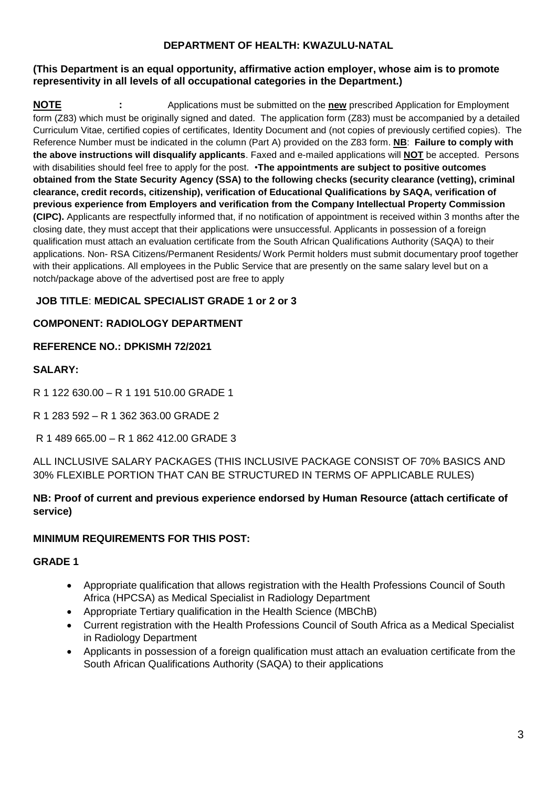### **DEPARTMENT OF HEALTH: KWAZULU-NATAL**

#### **(This Department is an equal opportunity, affirmative action employer, whose aim is to promote representivity in all levels of all occupational categories in the Department.)**

**NOTE :** Applications must be submitted on the **new** prescribed Application for Employment form (Z83) which must be originally signed and dated. The application form (Z83) must be accompanied by a detailed Curriculum Vitae, certified copies of certificates, Identity Document and (not copies of previously certified copies). The Reference Number must be indicated in the column (Part A) provided on the Z83 form. **NB**: **Failure to comply with the above instructions will disqualify applicants**. Faxed and e-mailed applications will **NOT** be accepted. Persons with disabilities should feel free to apply for the post. •**The appointments are subject to positive outcomes obtained from the State Security Agency (SSA) to the following checks (security clearance (vetting), criminal clearance, credit records, citizenship), verification of Educational Qualifications by SAQA, verification of previous experience from Employers and verification from the Company Intellectual Property Commission (CIPC).** Applicants are respectfully informed that, if no notification of appointment is received within 3 months after the closing date, they must accept that their applications were unsuccessful. Applicants in possession of a foreign qualification must attach an evaluation certificate from the South African Qualifications Authority (SAQA) to their applications. Non- RSA Citizens/Permanent Residents/ Work Permit holders must submit documentary proof together with their applications. All employees in the Public Service that are presently on the same salary level but on a notch/package above of the advertised post are free to apply

# **JOB TITLE**: **MEDICAL SPECIALIST GRADE 1 or 2 or 3**

## **COMPONENT: RADIOLOGY DEPARTMENT**

## **REFERENCE NO.: DPKISMH 72/2021**

### **SALARY:**

- R 1 122 630.00 R 1 191 510.00 GRADE 1
- R 1 283 592 R 1 362 363.00 GRADE 2
- R 1 489 665.00 R 1 862 412.00 GRADE 3

ALL INCLUSIVE SALARY PACKAGES (THIS INCLUSIVE PACKAGE CONSIST OF 70% BASICS AND 30% FLEXIBLE PORTION THAT CAN BE STRUCTURED IN TERMS OF APPLICABLE RULES)

## **NB: Proof of current and previous experience endorsed by Human Resource (attach certificate of service)**

## **MINIMUM REQUIREMENTS FOR THIS POST:**

### **GRADE 1**

- Appropriate qualification that allows registration with the Health Professions Council of South Africa (HPCSA) as Medical Specialist in Radiology Department
- Appropriate Tertiary qualification in the Health Science (MBChB)
- Current registration with the Health Professions Council of South Africa as a Medical Specialist in Radiology Department
- Applicants in possession of a foreign qualification must attach an evaluation certificate from the South African Qualifications Authority (SAQA) to their applications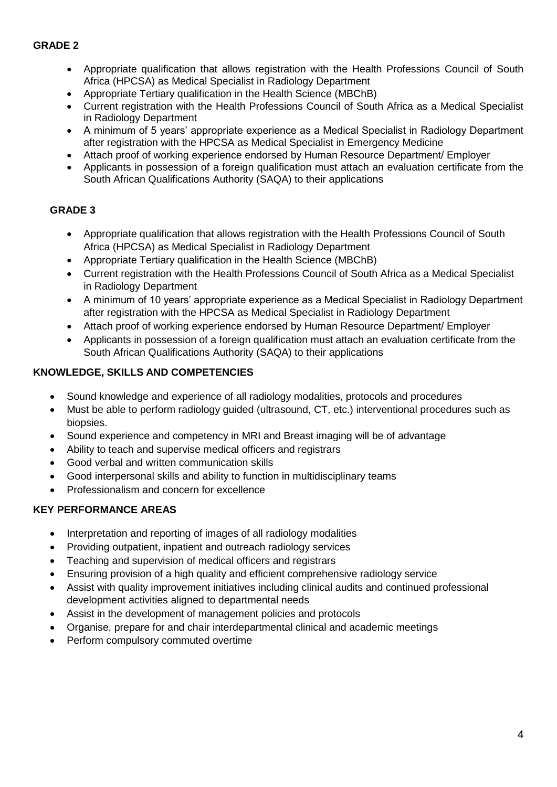## **GRADE 2**

- Appropriate qualification that allows registration with the Health Professions Council of South Africa (HPCSA) as Medical Specialist in Radiology Department
- Appropriate Tertiary qualification in the Health Science (MBChB)
- Current registration with the Health Professions Council of South Africa as a Medical Specialist in Radiology Department
- A minimum of 5 years' appropriate experience as a Medical Specialist in Radiology Department after registration with the HPCSA as Medical Specialist in Emergency Medicine
- Attach proof of working experience endorsed by Human Resource Department/ Employer
- Applicants in possession of a foreign qualification must attach an evaluation certificate from the South African Qualifications Authority (SAQA) to their applications

## **GRADE 3**

- Appropriate qualification that allows registration with the Health Professions Council of South Africa (HPCSA) as Medical Specialist in Radiology Department
- Appropriate Tertiary qualification in the Health Science (MBChB)
- Current registration with the Health Professions Council of South Africa as a Medical Specialist in Radiology Department
- A minimum of 10 years' appropriate experience as a Medical Specialist in Radiology Department after registration with the HPCSA as Medical Specialist in Radiology Department
- Attach proof of working experience endorsed by Human Resource Department/ Employer
- Applicants in possession of a foreign qualification must attach an evaluation certificate from the South African Qualifications Authority (SAQA) to their applications

### **KNOWLEDGE, SKILLS AND COMPETENCIES**

- Sound knowledge and experience of all radiology modalities, protocols and procedures
- Must be able to perform radiology guided (ultrasound, CT, etc.) interventional procedures such as biopsies.
- Sound experience and competency in MRI and Breast imaging will be of advantage
- Ability to teach and supervise medical officers and registrars
- Good verbal and written communication skills
- Good interpersonal skills and ability to function in multidisciplinary teams
- Professionalism and concern for excellence

### **KEY PERFORMANCE AREAS**

- Interpretation and reporting of images of all radiology modalities
- Providing outpatient, inpatient and outreach radiology services
- Teaching and supervision of medical officers and registrars
- Ensuring provision of a high quality and efficient comprehensive radiology service
- Assist with quality improvement initiatives including clinical audits and continued professional development activities aligned to departmental needs
- Assist in the development of management policies and protocols
- Organise, prepare for and chair interdepartmental clinical and academic meetings
- Perform compulsory commuted overtime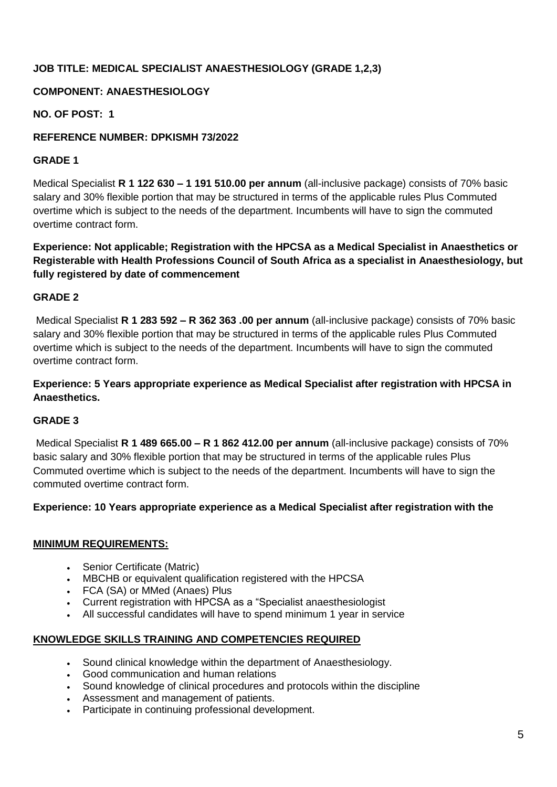# **JOB TITLE: MEDICAL SPECIALIST ANAESTHESIOLOGY (GRADE 1,2,3)**

## **COMPONENT: ANAESTHESIOLOGY**

**NO. OF POST: 1**

### **REFERENCE NUMBER: DPKISMH 73/2022**

#### **GRADE 1**

Medical Specialist **R 1 122 630 – 1 191 510.00 per annum** (all-inclusive package) consists of 70% basic salary and 30% flexible portion that may be structured in terms of the applicable rules Plus Commuted overtime which is subject to the needs of the department. Incumbents will have to sign the commuted overtime contract form.

**Experience: Not applicable; Registration with the HPCSA as a Medical Specialist in Anaesthetics or Registerable with Health Professions Council of South Africa as a specialist in Anaesthesiology, but fully registered by date of commencement**

#### **GRADE 2**

Medical Specialist **R 1 283 592 – R 362 363 .00 per annum** (all-inclusive package) consists of 70% basic salary and 30% flexible portion that may be structured in terms of the applicable rules Plus Commuted overtime which is subject to the needs of the department. Incumbents will have to sign the commuted overtime contract form.

### **Experience: 5 Years appropriate experience as Medical Specialist after registration with HPCSA in Anaesthetics.**

### **GRADE 3**

Medical Specialist **R 1 489 665.00 – R 1 862 412.00 per annum** (all-inclusive package) consists of 70% basic salary and 30% flexible portion that may be structured in terms of the applicable rules Plus Commuted overtime which is subject to the needs of the department. Incumbents will have to sign the commuted overtime contract form.

#### **Experience: 10 Years appropriate experience as a Medical Specialist after registration with the**

#### **MINIMUM REQUIREMENTS:**

- Senior Certificate (Matric)
- MBCHB or equivalent qualification registered with the HPCSA
- FCA (SA) or MMed (Anaes) Plus
- Current registration with HPCSA as a "Specialist anaesthesiologist
- All successful candidates will have to spend minimum 1 year in service

#### **KNOWLEDGE SKILLS TRAINING AND COMPETENCIES REQUIRED**

- Sound clinical knowledge within the department of Anaesthesiology.
- Good communication and human relations
- Sound knowledge of clinical procedures and protocols within the discipline
- Assessment and management of patients.
- Participate in continuing professional development.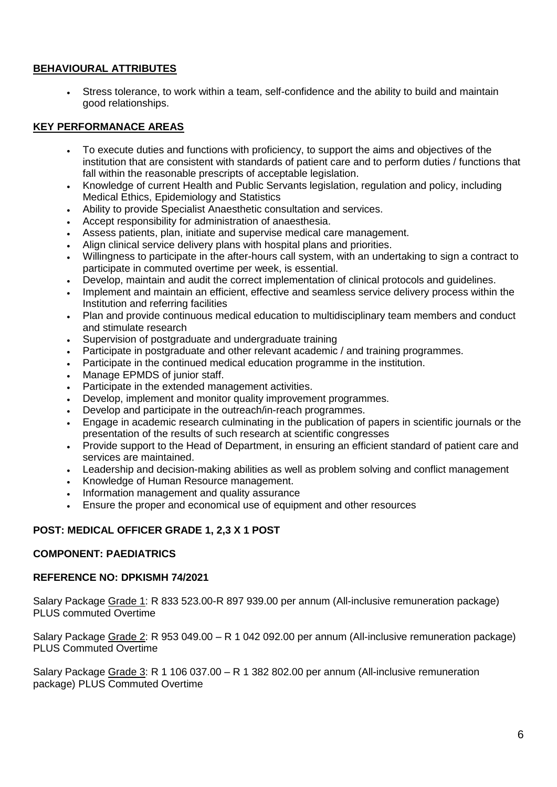### **BEHAVIOURAL ATTRIBUTES**

 Stress tolerance, to work within a team, self-confidence and the ability to build and maintain good relationships.

#### **KEY PERFORMANACE AREAS**

- To execute duties and functions with proficiency, to support the aims and objectives of the institution that are consistent with standards of patient care and to perform duties / functions that fall within the reasonable prescripts of acceptable legislation.
- Knowledge of current Health and Public Servants legislation, regulation and policy, including Medical Ethics, Epidemiology and Statistics
- Ability to provide Specialist Anaesthetic consultation and services.
- Accept responsibility for administration of anaesthesia.
- Assess patients, plan, initiate and supervise medical care management.
- Align clinical service delivery plans with hospital plans and priorities.
- Willingness to participate in the after-hours call system, with an undertaking to sign a contract to participate in commuted overtime per week, is essential.
- Develop, maintain and audit the correct implementation of clinical protocols and guidelines.
- Implement and maintain an efficient, effective and seamless service delivery process within the Institution and referring facilities
- Plan and provide continuous medical education to multidisciplinary team members and conduct and stimulate research
- Supervision of postgraduate and undergraduate training
- Participate in postgraduate and other relevant academic / and training programmes.
- Participate in the continued medical education programme in the institution.
- Manage EPMDS of junior staff.
- Participate in the extended management activities.
- Develop, implement and monitor quality improvement programmes.
- Develop and participate in the outreach/in-reach programmes.
- Engage in academic research culminating in the publication of papers in scientific journals or the presentation of the results of such research at scientific congresses
- Provide support to the Head of Department, in ensuring an efficient standard of patient care and services are maintained.
- Leadership and decision-making abilities as well as problem solving and conflict management
- Knowledge of Human Resource management.
- Information management and quality assurance
- Ensure the proper and economical use of equipment and other resources

#### **POST: MEDICAL OFFICER GRADE 1, 2,3 X 1 POST**

#### **COMPONENT: PAEDIATRICS**

#### **REFERENCE NO: DPKISMH 74/2021**

Salary Package Grade 1: R 833 523.00-R 897 939.00 per annum (All-inclusive remuneration package) PLUS commuted Overtime

Salary Package Grade 2: R 953 049.00 – R 1 042 092.00 per annum (All-inclusive remuneration package) PLUS Commuted Overtime

Salary Package Grade 3: R 1 106 037.00 – R 1 382 802.00 per annum (All-inclusive remuneration package) PLUS Commuted Overtime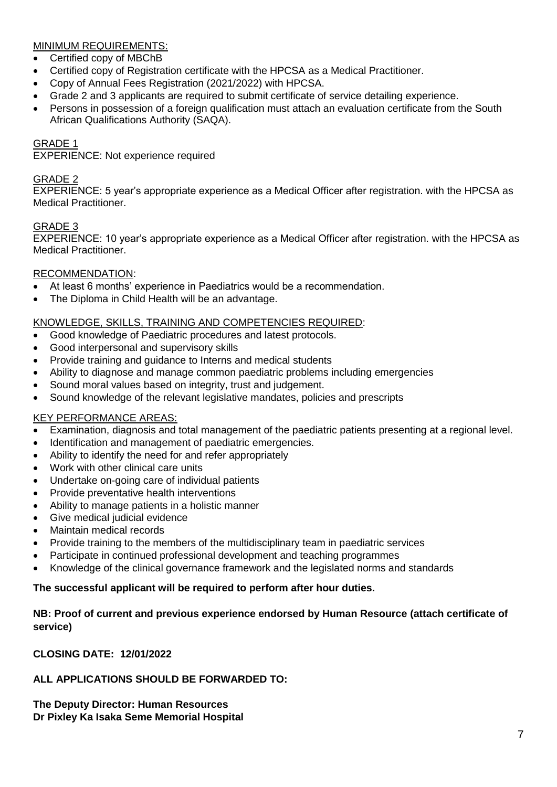## MINIMUM REQUIREMENTS:

- Certified copy of MBChB
- Certified copy of Registration certificate with the HPCSA as a Medical Practitioner.
- Copy of Annual Fees Registration (2021/2022) with HPCSA.
- Grade 2 and 3 applicants are required to submit certificate of service detailing experience.
- Persons in possession of a foreign qualification must attach an evaluation certificate from the South African Qualifications Authority (SAQA).

### GRADE 1

EXPERIENCE: Not experience required

#### GRADE 2

EXPERIENCE: 5 year's appropriate experience as a Medical Officer after registration. with the HPCSA as Medical Practitioner.

## GRADE 3

EXPERIENCE: 10 year's appropriate experience as a Medical Officer after registration. with the HPCSA as Medical Practitioner.

#### RECOMMENDATION:

- At least 6 months' experience in Paediatrics would be a recommendation.
- The Diploma in Child Health will be an advantage.

#### KNOWLEDGE, SKILLS, TRAINING AND COMPETENCIES REQUIRED:

- Good knowledge of Paediatric procedures and latest protocols.
- Good interpersonal and supervisory skills
- Provide training and guidance to Interns and medical students
- Ability to diagnose and manage common paediatric problems including emergencies
- Sound moral values based on integrity, trust and judgement.
- Sound knowledge of the relevant legislative mandates, policies and prescripts

### KEY PERFORMANCE AREAS:

- Examination, diagnosis and total management of the paediatric patients presenting at a regional level.
- Identification and management of paediatric emergencies.
- Ability to identify the need for and refer appropriately
- Work with other clinical care units
- Undertake on-going care of individual patients
- Provide preventative health interventions
- Ability to manage patients in a holistic manner
- Give medical judicial evidence
- Maintain medical records
- Provide training to the members of the multidisciplinary team in paediatric services
- Participate in continued professional development and teaching programmes
- Knowledge of the clinical governance framework and the legislated norms and standards

#### **The successful applicant will be required to perform after hour duties.**

### **NB: Proof of current and previous experience endorsed by Human Resource (attach certificate of service)**

**CLOSING DATE: 12/01/2022**

### **ALL APPLICATIONS SHOULD BE FORWARDED TO:**

**The Deputy Director: Human Resources Dr Pixley Ka Isaka Seme Memorial Hospital**